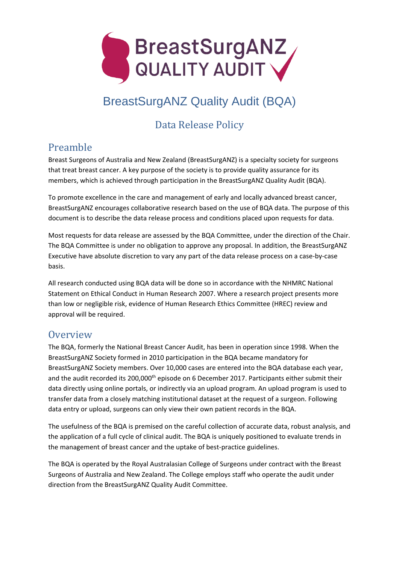

# BreastSurgANZ Quality Audit (BQA)

# Data Release Policy

## Preamble

Breast Surgeons of Australia and New Zealand (BreastSurgANZ) is a specialty society for surgeons that treat breast cancer. A key purpose of the society is to provide quality assurance for its members, which is achieved through participation in the BreastSurgANZ Quality Audit (BQA).

To promote excellence in the care and management of early and locally advanced breast cancer, BreastSurgANZ encourages collaborative research based on the use of BQA data. The purpose of this document is to describe the data release process and conditions placed upon requests for data.

Most requests for data release are assessed by the BQA Committee, under the direction of the Chair. The BQA Committee is under no obligation to approve any proposal. In addition, the BreastSurgANZ Executive have absolute discretion to vary any part of the data release process on a case-by-case basis.

All research conducted using BQA data will be done so in accordance with the NHMRC National Statement on Ethical Conduct in Human Research 2007. Where a research project presents more than low or negligible risk, evidence of Human Research Ethics Committee (HREC) review and approval will be required.

#### **Overview**

The BQA, formerly the National Breast Cancer Audit, has been in operation since 1998. When the BreastSurgANZ Society formed in 2010 participation in the BQA became mandatory for BreastSurgANZ Society members. Over 10,000 cases are entered into the BQA database each year, and the audit recorded its 200,000<sup>th</sup> episode on 6 December 2017. Participants either submit their data directly using online portals, or indirectly via an upload program. An upload program is used to transfer data from a closely matching institutional dataset at the request of a surgeon. Following data entry or upload, surgeons can only view their own patient records in the BQA.

The usefulness of the BQA is premised on the careful collection of accurate data, robust analysis, and the application of a full cycle of clinical audit. The BQA is uniquely positioned to evaluate trends in the management of breast cancer and the uptake of best-practice guidelines.

The BQA is operated by the Royal Australasian College of Surgeons under contract with the Breast Surgeons of Australia and New Zealand. The College employs staff who operate the audit under direction from the BreastSurgANZ Quality Audit Committee.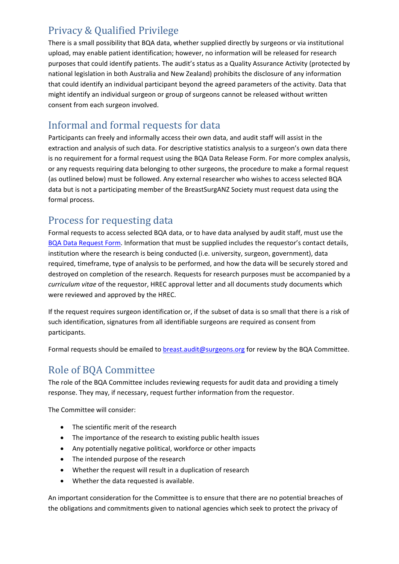## Privacy & Qualified Privilege

There is a small possibility that BQA data, whether supplied directly by surgeons or via institutional upload, may enable patient identification; however, no information will be released for research purposes that could identify patients. The audit's status as a Quality Assurance Activity (protected by national legislation in both Australia and New Zealand) prohibits the disclosure of any information that could identify an individual participant beyond the agreed parameters of the activity. Data that might identify an individual surgeon or group of surgeons cannot be released without written consent from each surgeon involved.

## Informal and formal requests for data

Participants can freely and informally access their own data, and audit staff will assist in the extraction and analysis of such data. For descriptive statistics analysis to a surgeon's own data there is no requirement for a formal request using the BQA Data Release Form. For more complex analysis, or any requests requiring data belonging to other surgeons, the procedure to make a formal request (as outlined below) must be followed. Any external researcher who wishes to access selected BQA data but is not a participating member of the BreastSurgANZ Society must request data using the formal process.

## Process for requesting data

Formal requests to access selected BQA data, or to have data analysed by audit staff, must use the [BQA Data Request Form.](https://www.surgeons.org/-/media/Project/RACS/surgeons-org/files/morbidity-audits/bqa-data-request-form.pdf) Information that must be supplied includes the requestor's contact details, institution where the research is being conducted (i.e. university, surgeon, government), data required, timeframe, type of analysis to be performed, and how the data will be securely stored and destroyed on completion of the research. Requests for research purposes must be accompanied by a *curriculum vitae* of the requestor, HREC approval letter and all documents study documents which were reviewed and approved by the HREC.

If the request requires surgeon identification or, if the subset of data is so small that there is a risk of such identification, signatures from all identifiable surgeons are required as consent from participants.

Formal requests should be emailed to [breast.audit@surgeons.org](mailto:breast.audit@surgeons.org) for review by the BQA Committee.

# Role of BQA Committee

The role of the BQA Committee includes reviewing requests for audit data and providing a timely response. They may, if necessary, request further information from the requestor.

The Committee will consider:

- The scientific merit of the research
- The importance of the research to existing public health issues
- Any potentially negative political, workforce or other impacts
- The intended purpose of the research
- Whether the request will result in a duplication of research
- Whether the data requested is available.

An important consideration for the Committee is to ensure that there are no potential breaches of the obligations and commitments given to national agencies which seek to protect the privacy of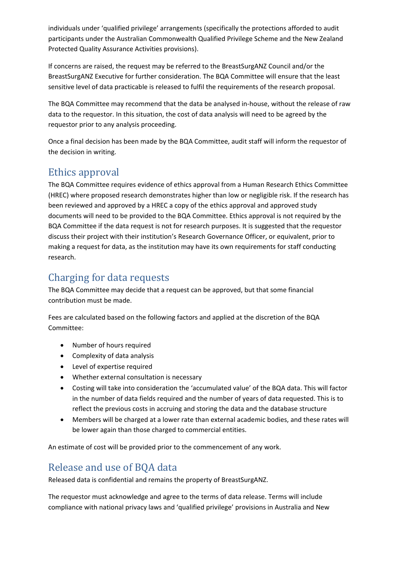individuals under 'qualified privilege' arrangements (specifically the protections afforded to audit participants under the Australian Commonwealth Qualified Privilege Scheme and the New Zealand Protected Quality Assurance Activities provisions).

If concerns are raised, the request may be referred to the BreastSurgANZ Council and/or the BreastSurgANZ Executive for further consideration. The BQA Committee will ensure that the least sensitive level of data practicable is released to fulfil the requirements of the research proposal.

The BQA Committee may recommend that the data be analysed in-house, without the release of raw data to the requestor. In this situation, the cost of data analysis will need to be agreed by the requestor prior to any analysis proceeding.

Once a final decision has been made by the BQA Committee, audit staff will inform the requestor of the decision in writing.

## Ethics approval

The BQA Committee requires evidence of ethics approval from a Human Research Ethics Committee (HREC) where proposed research demonstrates higher than low or negligible risk. If the research has been reviewed and approved by a HREC a copy of the ethics approval and approved study documents will need to be provided to the BQA Committee. Ethics approval is not required by the BQA Committee if the data request is not for research purposes. It is suggested that the requestor discuss their project with their institution's Research Governance Officer, or equivalent, prior to making a request for data, as the institution may have its own requirements for staff conducting research.

## Charging for data requests

The BQA Committee may decide that a request can be approved, but that some financial contribution must be made.

Fees are calculated based on the following factors and applied at the discretion of the BQA Committee:

- Number of hours required
- Complexity of data analysis
- Level of expertise required
- Whether external consultation is necessary
- Costing will take into consideration the 'accumulated value' of the BQA data. This will factor in the number of data fields required and the number of years of data requested. This is to reflect the previous costs in accruing and storing the data and the database structure
- Members will be charged at a lower rate than external academic bodies, and these rates will be lower again than those charged to commercial entities.

An estimate of cost will be provided prior to the commencement of any work.

#### Release and use of BQA data

Released data is confidential and remains the property of BreastSurgANZ.

The requestor must acknowledge and agree to the terms of data release. Terms will include compliance with national privacy laws and 'qualified privilege' provisions in Australia and New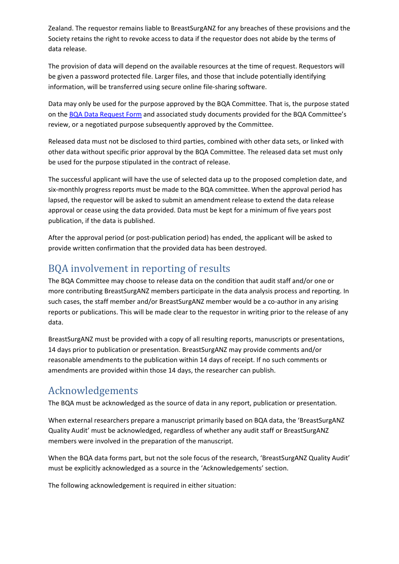Zealand. The requestor remains liable to BreastSurgANZ for any breaches of these provisions and the Society retains the right to revoke access to data if the requestor does not abide by the terms of data release.

The provision of data will depend on the available resources at the time of request. Requestors will be given a password protected file. Larger files, and those that include potentially identifying information, will be transferred using secure online file-sharing software.

Data may only be used for the purpose approved by the BQA Committee. That is, the purpose stated on the [BQA Data Request](https://www.surgeons.org/-/media/Project/RACS/surgeons-org/files/morbidity-audits/bqa-data-request-form.pdf) Form and associated study documents provided for the BQA Committee's review, or a negotiated purpose subsequently approved by the Committee.

Released data must not be disclosed to third parties, combined with other data sets, or linked with other data without specific prior approval by the BQA Committee. The released data set must only be used for the purpose stipulated in the contract of release.

The successful applicant will have the use of selected data up to the proposed completion date, and six-monthly progress reports must be made to the BQA committee. When the approval period has lapsed, the requestor will be asked to submit an amendment release to extend the data release approval or cease using the data provided. Data must be kept for a minimum of five years post publication, if the data is published.

After the approval period (or post-publication period) has ended, the applicant will be asked to provide written confirmation that the provided data has been destroyed.

## BQA involvement in reporting of results

The BQA Committee may choose to release data on the condition that audit staff and/or one or more contributing BreastSurgANZ members participate in the data analysis process and reporting. In such cases, the staff member and/or BreastSurgANZ member would be a co-author in any arising reports or publications. This will be made clear to the requestor in writing prior to the release of any data.

BreastSurgANZ must be provided with a copy of all resulting reports, manuscripts or presentations, 14 days prior to publication or presentation. BreastSurgANZ may provide comments and/or reasonable amendments to the publication within 14 days of receipt. If no such comments or amendments are provided within those 14 days, the researcher can publish.

#### Acknowledgements

The BQA must be acknowledged as the source of data in any report, publication or presentation.

When external researchers prepare a manuscript primarily based on BQA data, the 'BreastSurgANZ Quality Audit' must be acknowledged, regardless of whether any audit staff or BreastSurgANZ members were involved in the preparation of the manuscript.

When the BQA data forms part, but not the sole focus of the research, 'BreastSurgANZ Quality Audit' must be explicitly acknowledged as a source in the 'Acknowledgements' section.

The following acknowledgement is required in either situation: